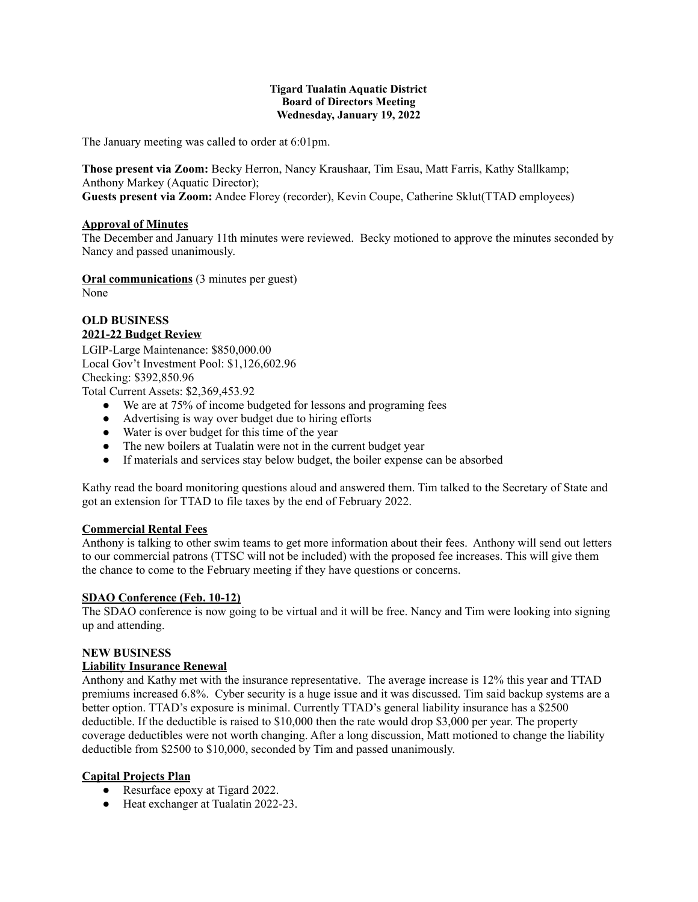#### **Tigard Tualatin Aquatic District Board of Directors Meeting Wednesday, January 19, 2022**

The January meeting was called to order at 6:01pm.

**Those present via Zoom:** Becky Herron, Nancy Kraushaar, Tim Esau, Matt Farris, Kathy Stallkamp; Anthony Markey (Aquatic Director);

**Guests present via Zoom:** Andee Florey (recorder), Kevin Coupe, Catherine Sklut(TTAD employees)

#### **Approval of Minutes**

The December and January 11th minutes were reviewed. Becky motioned to approve the minutes seconded by Nancy and passed unanimously.

**Oral communications** (3 minutes per guest) None

# **OLD BUSINESS 2021-22 Budget Review**

LGIP-Large Maintenance: \$850,000.00 Local Gov't Investment Pool: \$1,126,602.96 Checking: \$392,850.96

Total Current Assets: \$2,369,453.92

- We are at 75% of income budgeted for lessons and programing fees
- Advertising is way over budget due to hiring efforts
- Water is over budget for this time of the year
- The new boilers at Tualatin were not in the current budget year
- If materials and services stay below budget, the boiler expense can be absorbed

Kathy read the board monitoring questions aloud and answered them. Tim talked to the Secretary of State and got an extension for TTAD to file taxes by the end of February 2022.

## **Commercial Rental Fees**

Anthony is talking to other swim teams to get more information about their fees. Anthony will send out letters to our commercial patrons (TTSC will not be included) with the proposed fee increases. This will give them the chance to come to the February meeting if they have questions or concerns.

# **SDAO Conference (Feb. 10-12)**

The SDAO conference is now going to be virtual and it will be free. Nancy and Tim were looking into signing up and attending.

#### **NEW BUSINESS**

## **Liability Insurance Renewal**

Anthony and Kathy met with the insurance representative. The average increase is 12% this year and TTAD premiums increased 6.8%. Cyber security is a huge issue and it was discussed. Tim said backup systems are a better option. TTAD's exposure is minimal. Currently TTAD's general liability insurance has a \$2500 deductible. If the deductible is raised to \$10,000 then the rate would drop \$3,000 per year. The property coverage deductibles were not worth changing. After a long discussion, Matt motioned to change the liability deductible from \$2500 to \$10,000, seconded by Tim and passed unanimously.

## **Capital Projects Plan**

- Resurface epoxy at Tigard 2022.
- Heat exchanger at Tualatin 2022-23.